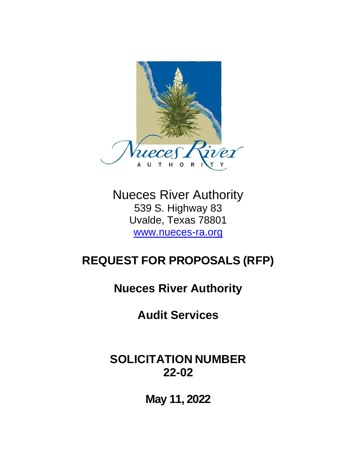

Nueces River Authority 539 S. Highway 83 Uvalde, Texas 78801 [www.nueces-ra.org](http://www.nueces-ra.org/)

# **REQUEST FOR PROPOSALS (RFP)**

**Nueces River Authority**

**Audit Services**

## **SOLICITATION NUMBER 22-02**

**May 11, 2022**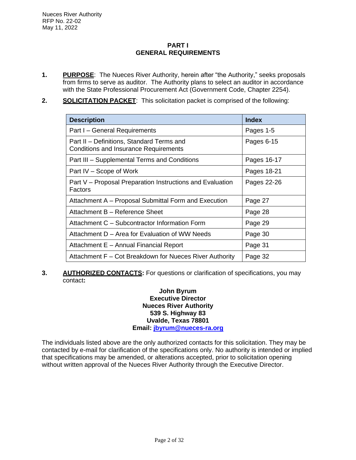## **PART I GENERAL REQUIREMENTS**

- **1. PURPOSE**: The Nueces River Authority, herein after "the Authority," seeks proposals from firms to serve as auditor. The Authority plans to select an auditor in accordance with the State Professional Procurement Act (Government Code, Chapter 2254).
- **2. SOLICITATION PACKET**: This solicitation packet is comprised of the following:

| <b>Description</b>                                                                        | <b>Index</b> |  |
|-------------------------------------------------------------------------------------------|--------------|--|
| Part I - General Requirements                                                             | Pages 1-5    |  |
| Part II - Definitions, Standard Terms and<br><b>Conditions and Insurance Requirements</b> | Pages 6-15   |  |
| Part III - Supplemental Terms and Conditions                                              | Pages 16-17  |  |
| Part IV – Scope of Work                                                                   | Pages 18-21  |  |
| Part V – Proposal Preparation Instructions and Evaluation<br>Factors                      | Pages 22-26  |  |
| Attachment A - Proposal Submittal Form and Execution                                      | Page 27      |  |
| Attachment B - Reference Sheet                                                            | Page 28      |  |
| Attachment C - Subcontractor Information Form                                             | Page 29      |  |
| Attachment D – Area for Evaluation of WW Needs                                            | Page 30      |  |
| Attachment E - Annual Financial Report                                                    | Page 31      |  |
| Attachment F – Cot Breakdown for Nueces River Authority                                   | Page 32      |  |

**3. AUTHORIZED CONTACTS:** For questions or clarification of specifications, you may contact**:**

## **John Byrum Executive Director Nueces River Authority 539 S. Highway 83 Uvalde, Texas 78801 Email: [jbyrum@nueces-ra.org](mailto:jbyrum@nueces-ra.org)**

The individuals listed above are the only authorized contacts for this solicitation. They may be contacted by e-mail for clarification of the specifications only. No authority is intended or implied that specifications may be amended, or alterations accepted, prior to solicitation opening without written approval of the Nueces River Authority through the Executive Director.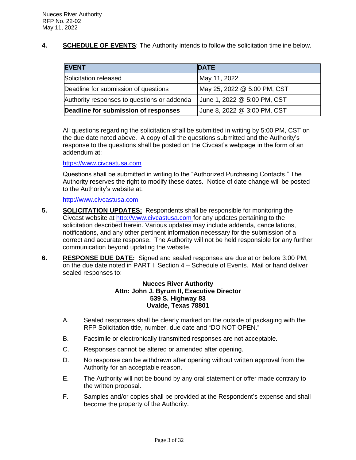**4. SCHEDULE OF EVENTS**: The Authority intends to follow the solicitation timeline below.

| <b>EVENT</b>                                | <b>DATE</b>                 |
|---------------------------------------------|-----------------------------|
| Solicitation released                       | May 11, 2022                |
| Deadline for submission of questions        | May 25, 2022 @ 5:00 PM, CST |
| Authority responses to questions or addenda | June 1, 2022 @ 5:00 PM, CST |
| Deadline for submission of responses        | June 8, 2022 @ 3:00 PM, CST |

All questions regarding the solicitation shall be submitted in writing by 5:00 PM, CST on the due date noted above. A copy of all the questions submitted and the Authority's response to the questions shall be posted on the Civcast's webpage in the form of an addendum at:

## [https://www.c](https://www./)ivcastusa.com

Questions shall be submitted in writing to the "Authorized Purchasing Contacts." The Authority reserves the right to modify these dates. Notice of date change will be posted to the Authority's website at:

[http://www.civcastusa.com](http://www.civcastusa.com/)

- **5. SOLICITATION UPDATES:** Respondents shall be responsible for monitoring the Civcast website at http://www.civcastusa.com for any updates pertaining to the solicitation described herein. Various updates may include addenda, cancellations, notifications, and any other pertinent information necessary for the submission of a correct and accurate response. The Authority will not be held responsible for any further communication beyond updating the website.
- **6. RESPONSE DUE DATE:** Signed and sealed responses are due at or before 3:00 PM, on the due date noted in PART I, Section 4 – Schedule of Events. Mail or hand deliver sealed responses to:

## **Nueces River Authority Attn: John J. Byrum II, Executive Director 539 S. Highway 83 Uvalde, Texas 78801**

- A. Sealed responses shall be clearly marked on the outside of packaging with the RFP Solicitation title, number, due date and "DO NOT OPEN."
- B. Facsimile or electronically transmitted responses are not acceptable.
- C. Responses cannot be altered or amended after opening.
- D. No response can be withdrawn after opening without written approval from the Authority for an acceptable reason.
- E. The Authority will not be bound by any oral statement or offer made contrary to the written proposal.
- F. Samples and/or copies shall be provided at the Respondent's expense and shall become the property of the Authority.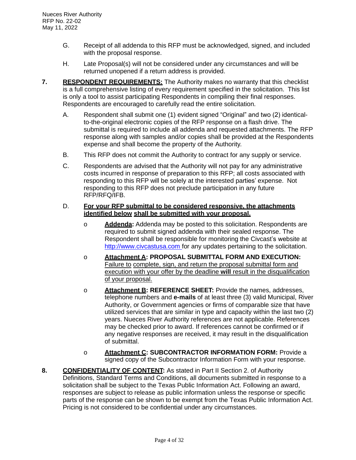- G. Receipt of all addenda to this RFP must be acknowledged, signed, and included with the proposal response.
- H. Late Proposal(s) will not be considered under any circumstances and will be returned unopened if a return address is provided.
- **7. RESPONDENT REQUIREMENTS:** The Authority makes no warranty that this checklist is a full comprehensive listing of every requirement specified in the solicitation. This list is only a tool to assist participating Respondents in compiling their final responses. Respondents are encouraged to carefully read the entire solicitation.
	- A. Respondent shall submit one (1) evident signed "Original" and two (2) identicalto-the-original electronic copies of the RFP response on a flash drive. The submittal is required to include all addenda and requested attachments. The RFP response along with samples and/or copies shall be provided at the Respondents expense and shall become the property of the Authority.
	- B. This RFP does not commit the Authority to contract for any supply or service.
	- C. Respondents are advised that the Authority will not pay for any administrative costs incurred in response of preparation to this RFP; all costs associated with responding to this RFP will be solely at the interested parties' expense. Not responding to this RFP does not preclude participation in any future RFP/RFQ/IFB.

#### D. **For your RFP submittal to be considered responsive, the attachments identified below shall be submitted with your proposal.**

- o **Addenda:** Addenda may be posted to this solicitation. Respondents are required to submit signed addenda with their sealed response. The Respondent shall be responsible for monitoring the Civcast's website at http://www.civcastusa.com for any updates pertaining to the solicitation.
- o **Attachment A: PROPOSAL SUBMITTAL FORM AND EXECUTION:**  Failure to complete, sign, and return the proposal submittal form and execution with your offer by the deadline **will** result in the disqualification of your proposal.
- o **Attachment B: REFERENCE SHEET:** Provide the names, addresses, telephone numbers and **e-mails** of at least three (3) valid Municipal, River Authority, or Government agencies or firms of comparable size that have utilized services that are similar in type and capacity within the last two (2) years. Nueces River Authority references are not applicable. References may be checked prior to award. If references cannot be confirmed or if any negative responses are received, it may result in the disqualification of submittal.
- o **Attachment C: SUBCONTRACTOR INFORMATION FORM:** Provide a signed copy of the Subcontractor Information Form with your response.
- **8. CONFIDENTIALITY OF CONTENT:** As stated in Part II Section 2. of Authority Definitions, Standard Terms and Conditions, all documents submitted in response to a solicitation shall be subject to the Texas Public Information Act. Following an award, responses are subject to release as public information unless the response or specific parts of the response can be shown to be exempt from the Texas Public Information Act. Pricing is not considered to be confidential under any circumstances.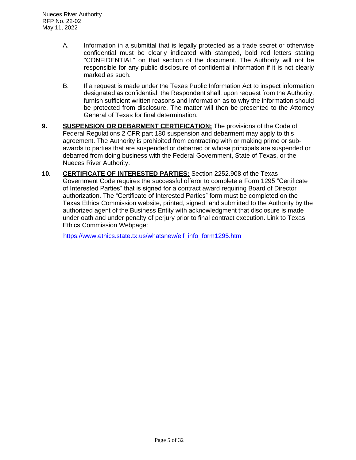- A. Information in a submittal that is legally protected as a trade secret or otherwise confidential must be clearly indicated with stamped, bold red letters stating "CONFIDENTIAL" on that section of the document. The Authority will not be responsible for any public disclosure of confidential information if it is not clearly marked as such.
- B. If a request is made under the Texas Public Information Act to inspect information designated as confidential, the Respondent shall, upon request from the Authority, furnish sufficient written reasons and information as to why the information should be protected from disclosure. The matter will then be presented to the Attorney General of Texas for final determination.
- **9. SUSPENSION OR DEBARMENT CERTIFICATION:** The provisions of the Code of Federal Regulations 2 CFR part 180 suspension and debarment may apply to this agreement. The Authority is prohibited from contracting with or making prime or subawards to parties that are suspended or debarred or whose principals are suspended or debarred from doing business with the Federal Government, State of Texas, or the Nueces River Authority.
- **10. CERTIFICATE OF INTERESTED PARTIES:** Section 2252.908 of the Texas Government Code requires the successful offeror to complete a Form 1295 "Certificate of Interested Parties" that is signed for a contract award requiring Board of Director authorization. The "Certificate of Interested Parties" form must be completed on the Texas Ethics Commission website, printed, signed, and submitted to the Authority by the authorized agent of the Business Entity with acknowledgment that disclosure is made under oath and under penalty of perjury prior to final contract execution**.** Link to Texas Ethics Commission Webpage:

http[s://www.ethics](http://www.ethics.state.tx.us/whatsnew/elf_info_form1295.htm).[state.tx.us/whatsnew/elf\\_info\\_form1295.htm](http://www.ethics.state.tx.us/whatsnew/elf_info_form1295.htm)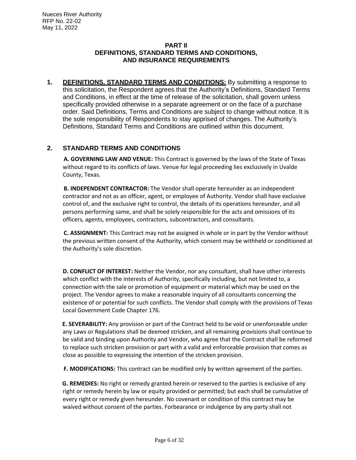## **PART II DEFINITIONS, STANDARD TERMS AND CONDITIONS, AND INSURANCE REQUIREMENTS**

**1. DEFINITIONS, STANDARD TERMS AND CONDITIONS:** By submitting a response to this solicitation, the Respondent agrees that the Authority's Definitions, Standard Terms and Conditions, in effect at the time of release of the solicitation, shall govern unless specifically provided otherwise in a separate agreement or on the face of a purchase order. Said Definitions, Terms and Conditions are subject to change without notice. It is the sole responsibility of Respondents to stay apprised of changes. The Authority's Definitions, Standard Terms and Conditions are outlined within this document.

## **2. STANDARD TERMS AND CONDITIONS**

**A. GOVERNING LAW AND VENUE:** This Contract is governed by the laws of the State of Texas without regard to its conflicts of laws. Venue for legal proceeding lies exclusively in Uvalde County, Texas.

**B. INDEPENDENT CONTRACTOR:** The Vendor shall operate hereunder as an independent contractor and not as an officer, agent, or employee of Authority. Vendor shall have exclusive control of, and the exclusive right to control, the details of its operations hereunder, and all persons performing same, and shall be solely responsible for the acts and omissions of its officers, agents, employees, contractors, subcontractors, and consultants.

**C. ASSIGNMENT:** This Contract may not be assigned in whole or in part by the Vendor without the previous written consent of the Authority, which consent may be withheld or conditioned at the Authority's sole discretion.

**D. CONFLICT OF INTEREST:** Neither the Vendor, nor any consultant, shall have other interests which conflict with the interests of Authority, specifically including, but not limited to, a connection with the sale or promotion of equipment or material which may be used on the project. The Vendor agrees to make a reasonable inquiry of all consultants concerning the existence of or potential for such conflicts. The Vendor shall comply with the provisions of Texas Local Government Code Chapter 176.

**E. SEVERABILITY:** Any provision or part of the Contract held to be void or unenforceable under any Laws or Regulations shall be deemed stricken, and all remaining provisions shall continue to be valid and binding upon Authority and Vendor, who agree that the Contract shall be reformed to replace such stricken provision or part with a valid and enforceable provision that comes as close as possible to expressing the intention of the stricken provision.

**F. MODIFICATIONS:** This contract can be modified only by written agreement of the parties.

**G. REMEDIES:** No right or remedy granted herein or reserved to the parties is exclusive of any right or remedy herein by law or equity provided or permitted; but each shall be cumulative of every right or remedy given hereunder. No covenant or condition of this contract may be waived without consent of the parties. Forbearance or indulgence by any party shall not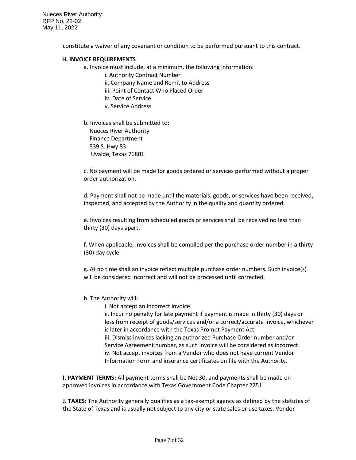Nueces River Authority RFP No. 22-02 May 11, 2022

constitute a waiver of any covenant or condition to be performed pursuant to this contract.

#### **H. INVOICE REQUIREMENTS**

a. Invoice must include, at a minimum, the following information:

- i. Authority Contract Number
- ii. Company Name and Remit to Address
- iii. Point of Contact Who Placed Order
- iv. Date of Service
- v. Service Address
- b. Invoices shall be submitted to: Nueces River Authority Finance Department 539 S. Hwy 83 Uvalde, Texas 76801

c. No payment will be made for goods ordered or services performed without a proper order authorization.

d. Payment shall not be made until the materials, goods, or services have been received, inspected, and accepted by the Authority in the quality and quantity ordered.

e. Invoices resulting from scheduled goods or services shall be received no less than thirty (30) days apart.

f. When applicable, invoices shall be compiled per the purchase order number in a thirty (30) day cycle.

g. At no time shall an invoice reflect multiple purchase order numbers. Such invoice(s) will be considered incorrect and will not be processed until corrected.

#### h. The Authority will:

i. Not accept an incorrect invoice.

ii. Incur no penalty for late payment if payment is made in thirty (30) days or less from receipt of goods/services and/or a correct/accurate invoice, whichever is later in accordance with the Texas Prompt Payment Act.

iii. Dismiss invoices lacking an authorized Purchase Order number and/or Service Agreement number, as such invoice will be considered as incorrect. iv. Not accept invoices from a Vendor who does not have current Vendor Information Form and insurance certificates on file with the Authority.

**I. PAYMENT TERMS:** All payment terms shall be Net 30, and payments shall be made on approved invoices in accordance with Texas Government Code Chapter 2251.

**J. TAXES:** The Authority generally qualifies as a tax-exempt agency as defined by the statutes of the State of Texas and is usually not subject to any city or state sales or use taxes. Vendor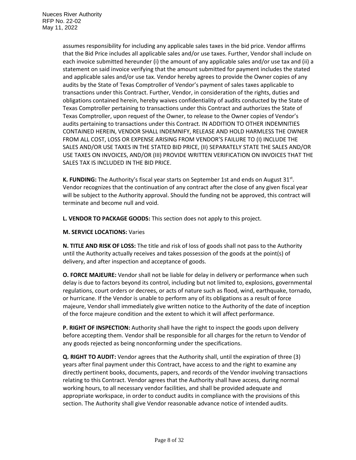assumes responsibility for including any applicable sales taxes in the bid price. Vendor affirms that the Bid Price includes all applicable sales and/or use taxes. Further, Vendor shall include on each invoice submitted hereunder (i) the amount of any applicable sales and/or use tax and (ii) a statement on said invoice verifying that the amount submitted for payment includes the stated and applicable sales and/or use tax. Vendor hereby agrees to provide the Owner copies of any audits by the State of Texas Comptroller of Vendor's payment of sales taxes applicable to transactions under this Contract. Further, Vendor, in consideration of the rights, duties and obligations contained herein, hereby waives confidentiality of audits conducted by the State of Texas Comptroller pertaining to transactions under this Contract and authorizes the State of Texas Comptroller, upon request of the Owner, to release to the Owner copies of Vendor's audits pertaining to transactions under this Contract. IN ADDITION TO OTHER INDEMNITIES CONTAINED HEREIN, VENDOR SHALL INDEMNIFY, RELEASE AND HOLD HARMLESS THE OWNER FROM ALL COST, LOSS OR EXPENSE ARISING FROM VENDOR'S FAILURE TO (I) INCLUDE THE SALES AND/OR USE TAXES IN THE STATED BID PRICE, (II) SEPARATELY STATE THE SALES AND/OR USE TAXES ON INVOICES, AND/OR (III) PROVIDE WRITTEN VERIFICATION ON INVOICES THAT THE SALES TAX IS INCLUDED IN THE BID PRICE.

K. FUNDING: The Authority's fiscal year starts on September 1st and ends on August 31<sup>st</sup>. Vendor recognizes that the continuation of any contract after the close of any given fiscal year will be subject to the Authority approval. Should the funding not be approved, this contract will terminate and become null and void.

**L. VENDOR TO PACKAGE GOODS:** This section does not apply to this project.

#### **M. SERVICE LOCATIONS:** Varies

**N. TITLE AND RISK OF LOSS:** The title and risk of loss of goods shall not pass to the Authority until the Authority actually receives and takes possession of the goods at the point(s) of delivery, and after inspection and acceptance of goods.

**O. FORCE MAJEURE:** Vendor shall not be liable for delay in delivery or performance when such delay is due to factors beyond its control, including but not limited to, explosions, governmental regulations, court orders or decrees, or acts of nature such as flood, wind, earthquake, tornado, or hurricane. If the Vendor is unable to perform any of its obligations as a result of force majeure, Vendor shall immediately give written notice to the Authority of the date of inception of the force majeure condition and the extent to which it will affect performance.

**P. RIGHT OF INSPECTION:** Authority shall have the right to inspect the goods upon delivery before accepting them. Vendor shall be responsible for all charges for the return to Vendor of any goods rejected as being nonconforming under the specifications.

**Q. RIGHT TO AUDIT:** Vendor agrees that the Authority shall, until the expiration of three (3) years after final payment under this Contract, have access to and the right to examine any directly pertinent books, documents, papers, and records of the Vendor involving transactions relating to this Contract. Vendor agrees that the Authority shall have access, during normal working hours, to all necessary vendor facilities, and shall be provided adequate and appropriate workspace, in order to conduct audits in compliance with the provisions of this section. The Authority shall give Vendor reasonable advance notice of intended audits.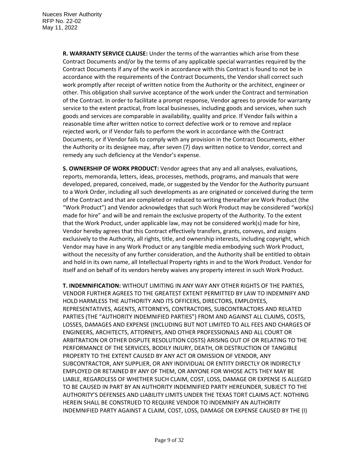**R. WARRANTY SERVICE CLAUSE:** Under the terms of the warranties which arise from these Contract Documents and/or by the terms of any applicable special warranties required by the Contract Documents if any of the work in accordance with this Contract is found to not be in accordance with the requirements of the Contract Documents, the Vendor shall correct such work promptly after receipt of written notice from the Authority or the architect, engineer or other. This obligation shall survive acceptance of the work under the Contract and termination of the Contract. In order to facilitate a prompt response, Vendor agrees to provide for warranty service to the extent practical, from local businesses, including goods and services, when such goods and services are comparable in availability, quality and price. If Vendor fails within a reasonable time after written notice to correct defective work or to remove and replace rejected work, or if Vendor fails to perform the work in accordance with the Contract Documents, or if Vendor fails to comply with any provision in the Contract Documents, either the Authority or its designee may, after seven (7) days written notice to Vendor, correct and remedy any such deficiency at the Vendor's expense.

**S. OWNERSHIP OF WORK PRODUCT:** Vendor agrees that any and all analyses, evaluations, reports, memoranda, letters, ideas, processes, methods, programs, and manuals that were developed, prepared, conceived, made, or suggested by the Vendor for the Authority pursuant to a Work Order, including all such developments as are originated or conceived during the term of the Contract and that are completed or reduced to writing thereafter are Work Product (the "Work Product") and Vendor acknowledges that such Work Product may be considered "work(s) made for hire" and will be and remain the exclusive property of the Authority. To the extent that the Work Product, under applicable law, may not be considered work(s) made for hire, Vendor hereby agrees that this Contract effectively transfers, grants, conveys, and assigns exclusively to the Authority, all rights, title, and ownership interests, including copyright, which Vendor may have in any Work Product or any tangible media embodying such Work Product, without the necessity of any further consideration, and the Authority shall be entitled to obtain and hold in its own name, all Intellectual Property rights in and to the Work Product. Vendor for itself and on behalf of its vendors hereby waives any property interest in such Work Product.

**T. INDEMNIFICATION:** WITHOUT LIMITING IN ANY WAY ANY OTHER RIGHTS OF THE PARTIES, VENDOR FURTHER AGREES TO THE GREATEST EXTENT PERMITTED BY LAW TO INDEMNIFY AND HOLD HARMLESS THE AUTHORITY AND ITS OFFICERS, DIRECTORS, EMPLOYEES, REPRESENTATIVES, AGENTS, ATTORNEYS, CONTRACTORS, SUBCONTRACTORS AND RELATED PARTIES (THE "AUTHORITY INDEMNIFIED PARTIES") FROM AND AGAINST ALL CLAIMS, COSTS, LOSSES, DAMAGES AND EXPENSE (INCLUDING BUT NOT LIMITED TO ALL FEES AND CHARGES OF ENGINEERS, ARCHITECTS, ATTORNEYS, AND OTHER PROFESSIONALS AND ALL COURT OR ARBITRATION OR OTHER DISPUTE RESOLUTION COSTS) ARISING OUT OF OR RELATING TO THE PERFORMANCE OF THE SERVICES, BODILY INJURY, DEATH, OR DESTRUCTION OF TANGIBLE PROPERTY TO THE EXTENT CAUSED BY ANY ACT OR OMISSION OF VENDOR, ANY SUBCONTRACTOR, ANY SUPPLIER, OR ANY INDIVIDUAL OR ENTITY DIRECTLY OR INDIRECTLY EMPLOYED OR RETAINED BY ANY OF THEM, OR ANYONE FOR WHOSE ACTS THEY MAY BE LIABLE, REGARDLESS OF WHETHER SUCH CLAIM, COST, LOSS, DAMAGE OR EXPENSE IS ALLEGED TO BE CAUSED IN PART BY AN AUTHORITY INDEMNIFIED PARTY HEREUNDER, SUBJECT TO THE AUTHORITY'S DEFENSES AND LIABILITY LIMITS UNDER THE TEXAS TORT CLAIMS ACT. NOTHING HEREIN SHALL BE CONSTRUED TO REQUIRE VENDOR TO INDEMNIFY AN AUTHORITY INDEMNIFIED PARTY AGAINST A CLAIM, COST, LOSS, DAMAGE OR EXPENSE CAUSED BY THE (I)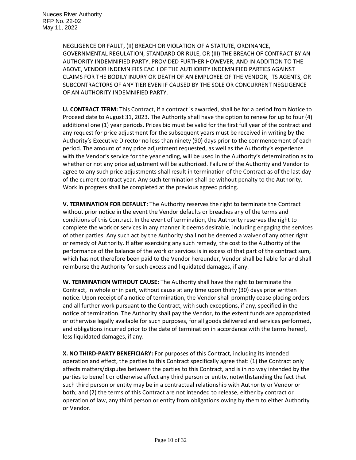NEGLIGENCE OR FAULT, (II) BREACH OR VIOLATION OF A STATUTE, ORDINANCE, GOVERNMENTAL REGULATION, STANDARD OR RULE, OR (III) THE BREACH OF CONTRACT BY AN AUTHORITY INDEMNIFIED PARTY. PROVIDED FURTHER HOWEVER, AND IN ADDITION TO THE ABOVE, VENDOR INDEMNIFIES EACH OF THE AUTHORITY INDEMNIFIED PARTIES AGAINST CLAIMS FOR THE BODILY INJURY OR DEATH OF AN EMPLOYEE OF THE VENDOR, ITS AGENTS, OR SUBCONTRACTORS OF ANY TIER EVEN IF CAUSED BY THE SOLE OR CONCURRENT NEGLIGENCE OF AN AUTHORITY INDEMNIFIED PARTY.

**U. CONTRACT TERM:** This Contract, if a contract is awarded, shall be for a period from Notice to Proceed date to August 31, 2023. The Authority shall have the option to renew for up to four (4) additional one (1) year periods. Prices bid must be valid for the first full year of the contract and any request for price adjustment for the subsequent years must be received in writing by the Authority's Executive Director no less than ninety (90) days prior to the commencement of each period. The amount of any price adjustment requested, as well as the Authority's experience with the Vendor's service for the year ending, will be used in the Authority's determination as to whether or not any price adjustment will be authorized. Failure of the Authority and Vendor to agree to any such price adjustments shall result in termination of the Contract as of the last day of the current contract year. Any such termination shall be without penalty to the Authority. Work in progress shall be completed at the previous agreed pricing.

**V. TERMINATION FOR DEFAULT:** The Authority reserves the right to terminate the Contract without prior notice in the event the Vendor defaults or breaches any of the terms and conditions of this Contract. In the event of termination, the Authority reserves the right to complete the work or services in any manner it deems desirable, including engaging the services of other parties. Any such act by the Authority shall not be deemed a waiver of any other right or remedy of Authority. If after exercising any such remedy, the cost to the Authority of the performance of the balance of the work or services is in excess of that part of the contract sum, which has not therefore been paid to the Vendor hereunder, Vendor shall be liable for and shall reimburse the Authority for such excess and liquidated damages, if any.

**W. TERMINATION WITHOUT CAUSE:** The Authority shall have the right to terminate the Contract, in whole or in part, without cause at any time upon thirty (30) days prior written notice. Upon receipt of a notice of termination, the Vendor shall promptly cease placing orders and all further work pursuant to the Contract, with such exceptions, if any, specified in the notice of termination. The Authority shall pay the Vendor, to the extent funds are appropriated or otherwise legally available for such purposes, for all goods delivered and services performed, and obligations incurred prior to the date of termination in accordance with the terms hereof, less liquidated damages, if any.

**X. NO THIRD-PARTY BENEFICIARY:** For purposes of this Contract, including its intended operation and effect, the parties to this Contract specifically agree that: (1) the Contract only affects matters/disputes between the parties to this Contract, and is in no way intended by the parties to benefit or otherwise affect any third person or entity, notwithstanding the fact that such third person or entity may be in a contractual relationship with Authority or Vendor or both; and (2) the terms of this Contract are not intended to release, either by contract or operation of law, any third person or entity from obligations owing by them to either Authority or Vendor.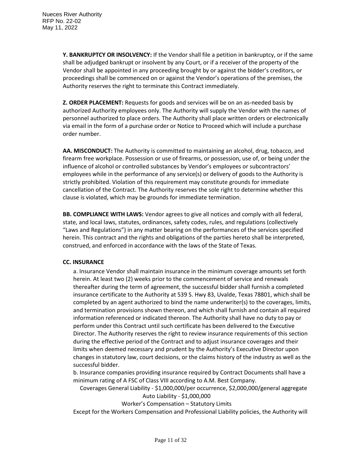**Y. BANKRUPTCY OR INSOLVENCY:** If the Vendor shall file a petition in bankruptcy, or if the same shall be adjudged bankrupt or insolvent by any Court, or if a receiver of the property of the Vendor shall be appointed in any proceeding brought by or against the bidder's creditors, or proceedings shall be commenced on or against the Vendor's operations of the premises, the Authority reserves the right to terminate this Contract immediately.

**Z. ORDER PLACEMENT:** Requests for goods and services will be on an as-needed basis by authorized Authority employees only. The Authority will supply the Vendor with the names of personnel authorized to place orders. The Authority shall place written orders or electronically via email in the form of a purchase order or Notice to Proceed which will include a purchase order number.

**AA. MISCONDUCT:** The Authority is committed to maintaining an alcohol, drug, tobacco, and firearm free workplace. Possession or use of firearms, or possession, use of, or being under the influence of alcohol or controlled substances by Vendor's employees or subcontractors' employees while in the performance of any service(s) or delivery of goods to the Authority is strictly prohibited. Violation of this requirement may constitute grounds for immediate cancellation of the Contract. The Authority reserves the sole right to determine whether this clause is violated, which may be grounds for immediate termination.

**BB. COMPLIANCE WITH LAWS:** Vendor agrees to give all notices and comply with all federal, state, and local laws, statutes, ordinances, safety codes, rules, and regulations (collectively "Laws and Regulations") in any matter bearing on the performances of the services specified herein. This contract and the rights and obligations of the parties hereto shall be interpreted, construed, and enforced in accordance with the laws of the State of Texas.

#### **CC. INSURANCE**

a. Insurance Vendor shall maintain insurance in the minimum coverage amounts set forth herein. At least two (2) weeks prior to the commencement of service and renewals thereafter during the term of agreement, the successful bidder shall furnish a completed insurance certificate to the Authority at 539 S. Hwy 83, Uvalde, Texas 78801, which shall be completed by an agent authorized to bind the name underwriter(s) to the coverages, limits, and termination provisions shown thereon, and which shall furnish and contain all required information referenced or indicated thereon. The Authority shall have no duty to pay or perform under this Contract until such certificate has been delivered to the Executive Director. The Authority reserves the right to review insurance requirements of this section during the effective period of the Contract and to adjust insurance coverages and their limits when deemed necessary and prudent by the Authority's Executive Director upon changes in statutory law, court decisions, or the claims history of the industry as well as the successful bidder.

b. Insurance companies providing insurance required by Contract Documents shall have a minimum rating of A FSC of Class VIII according to A.M. Best Company.

Coverages General Liability - \$1,000,000/per occurrence, \$2,000,000/general aggregate Auto Liability - \$1,000,000

Worker's Compensation – Statutory Limits

Except for the Workers Compensation and Professional Liability policies, the Authority will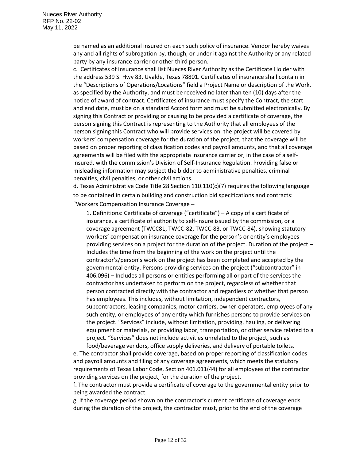be named as an additional insured on each such policy of insurance. Vendor hereby waives any and all rights of subrogation by, though, or under it against the Authority or any related party by any insurance carrier or other third person.

c. Certificates of insurance shall list Nueces River Authority as the Certificate Holder with the address 539 S. Hwy 83, Uvalde, Texas 78801. Certificates of insurance shall contain in the "Descriptions of Operations/Locations" field a Project Name or description of the Work, as specified by the Authority, and must be received no later than ten (10) days after the notice of award of contract. Certificates of insurance must specify the Contract, the start and end date, must be on a standard Accord form and must be submitted electronically. By signing this Contract or providing or causing to be provided a certificate of coverage, the person signing this Contract is representing to the Authority that all employees of the person signing this Contract who will provide services on the project will be covered by workers' compensation coverage for the duration of the project, that the coverage will be based on proper reporting of classification codes and payroll amounts, and that all coverage agreements will be filed with the appropriate insurance carrier or, in the case of a selfinsured, with the commission's Division of Self-Insurance Regulation. Providing false or misleading information may subject the bidder to administrative penalties, criminal penalties, civil penalties, or other civil actions.

d. Texas Administrative Code Title 28 Section 110.110(c)(7) requires the following language to be contained in certain building and construction bid specifications and contracts: "Workers Compensation Insurance Coverage –

1. Definitions: Certificate of coverage ("certificate") – A copy of a certificate of insurance, a certificate of authority to self-insure issued by the commission, or a coverage agreement (TWCC81, TWCC-82, TWCC-83, or TWCC-84), showing statutory workers' compensation insurance coverage for the person's or entity's employees providing services on a project for the duration of the project. Duration of the project – Includes the time from the beginning of the work on the project until the contractor's/person's work on the project has been completed and accepted by the governmental entity. Persons providing services on the project ("subcontractor" in 406.096) – Includes all persons or entities performing all or part of the services the contractor has undertaken to perform on the project, regardless of whether that person contracted directly with the contractor and regardless of whether that person has employees. This includes, without limitation, independent contractors, subcontractors, leasing companies, motor carriers, owner-operators, employees of any such entity, or employees of any entity which furnishes persons to provide services on the project. "Services" include, without limitation, providing, hauling, or delivering equipment or materials, or providing labor, transportation, or other service related to a project. "Services" does not include activities unrelated to the project, such as food/beverage vendors, office supply deliveries, and delivery of portable toilets.

e. The contractor shall provide coverage, based on proper reporting of classification codes and payroll amounts and filing of any coverage agreements, which meets the statutory requirements of Texas Labor Code, Section 401.011(44) for all employees of the contractor providing services on the project, for the duration of the project.

f. The contractor must provide a certificate of coverage to the governmental entity prior to being awarded the contract.

g. If the coverage period shown on the contractor's current certificate of coverage ends during the duration of the project, the contractor must, prior to the end of the coverage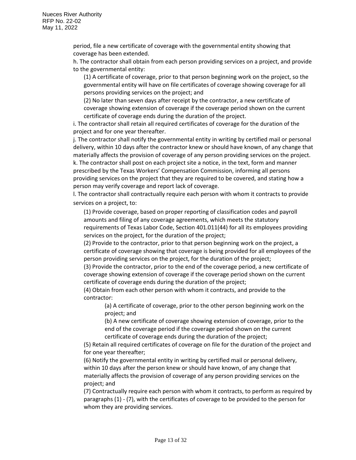period, file a new certificate of coverage with the governmental entity showing that coverage has been extended.

h. The contractor shall obtain from each person providing services on a project, and provide to the governmental entity:

(1) A certificate of coverage, prior to that person beginning work on the project, so the governmental entity will have on file certificates of coverage showing coverage for all persons providing services on the project; and

(2) No later than seven days after receipt by the contractor, a new certificate of coverage showing extension of coverage if the coverage period shown on the current certificate of coverage ends during the duration of the project.

i. The contractor shall retain all required certificates of coverage for the duration of the project and for one year thereafter.

j. The contractor shall notify the governmental entity in writing by certified mail or personal delivery, within 10 days after the contractor knew or should have known, of any change that materially affects the provision of coverage of any person providing services on the project. k. The contractor shall post on each project site a notice, in the text, form and manner prescribed by the Texas Workers' Compensation Commission, informing all persons providing services on the project that they are required to be covered, and stating how a person may verify coverage and report lack of coverage.

l. The contractor shall contractually require each person with whom it contracts to provide services on a project, to:

(1) Provide coverage, based on proper reporting of classification codes and payroll amounts and filing of any coverage agreements, which meets the statutory requirements of Texas Labor Code, Section 401.011(44) for all its employees providing services on the project, for the duration of the project;

(2) Provide to the contractor, prior to that person beginning work on the project, a certificate of coverage showing that coverage is being provided for all employees of the person providing services on the project, for the duration of the project;

(3) Provide the contractor, prior to the end of the coverage period, a new certificate of coverage showing extension of coverage if the coverage period shown on the current certificate of coverage ends during the duration of the project;

(4) Obtain from each other person with whom it contracts, and provide to the contractor:

(a) A certificate of coverage, prior to the other person beginning work on the project; and

(b) A new certificate of coverage showing extension of coverage, prior to the end of the coverage period if the coverage period shown on the current certificate of coverage ends during the duration of the project;

(5) Retain all required certificates of coverage on file for the duration of the project and for one year thereafter;

(6) Notify the governmental entity in writing by certified mail or personal delivery, within 10 days after the person knew or should have known, of any change that materially affects the provision of coverage of any person providing services on the project; and

(7) Contractually require each person with whom it contracts, to perform as required by paragraphs (1) - (7), with the certificates of coverage to be provided to the person for whom they are providing services.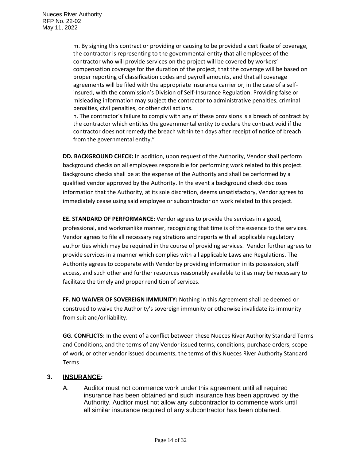m. By signing this contract or providing or causing to be provided a certificate of coverage, the contractor is representing to the governmental entity that all employees of the contractor who will provide services on the project will be covered by workers' compensation coverage for the duration of the project, that the coverage will be based on proper reporting of classification codes and payroll amounts, and that all coverage agreements will be filed with the appropriate insurance carrier or, in the case of a selfinsured, with the commission's Division of Self-Insurance Regulation. Providing false or misleading information may subject the contractor to administrative penalties, criminal penalties, civil penalties, or other civil actions.

n. The contractor's failure to comply with any of these provisions is a breach of contract by the contractor which entitles the governmental entity to declare the contract void if the contractor does not remedy the breach within ten days after receipt of notice of breach from the governmental entity."

**DD. BACKGROUND CHECK:** In addition, upon request of the Authority, Vendor shall perform background checks on all employees responsible for performing work related to this project. Background checks shall be at the expense of the Authority and shall be performed by a qualified vendor approved by the Authority. In the event a background check discloses information that the Authority, at its sole discretion, deems unsatisfactory, Vendor agrees to immediately cease using said employee or subcontractor on work related to this project.

**EE. STANDARD OF PERFORMANCE:** Vendor agrees to provide the services in a good, professional, and workmanlike manner, recognizing that time is of the essence to the services. Vendor agrees to file all necessary registrations and reports with all applicable regulatory authorities which may be required in the course of providing services. Vendor further agrees to provide services in a manner which complies with all applicable Laws and Regulations. The Authority agrees to cooperate with Vendor by providing information in its possession, staff access, and such other and further resources reasonably available to it as may be necessary to facilitate the timely and proper rendition of services.

**FF. NO WAIVER OF SOVEREIGN IMMUNITY:** Nothing in this Agreement shall be deemed or construed to waive the Authority's sovereign immunity or otherwise invalidate its immunity from suit and/or liability.

**GG. CONFLICTS:** In the event of a conflict between these Nueces River Authority Standard Terms and Conditions, and the terms of any Vendor issued terms, conditions, purchase orders, scope of work, or other vendor issued documents, the terms of this Nueces River Authority Standard Terms

## **3. INSURANCE:**

A. Auditor must not commence work under this agreement until all required insurance has been obtained and such insurance has been approved by the Authority. Auditor must not allow any subcontractor to commence work until all similar insurance required of any subcontractor has been obtained.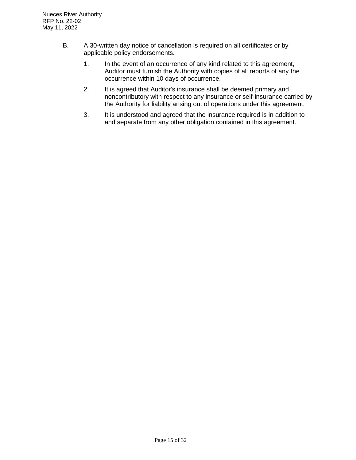- B. A 30-written day notice of cancellation is required on all certificates or by applicable policy endorsements.
	- 1. In the event of an occurrence of any kind related to this agreement, Auditor must furnish the Authority with copies of all reports of any the occurrence within 10 days of occurrence.
	- 2. It is agreed that Auditor's insurance shall be deemed primary and noncontributory with respect to any insurance or self-insurance carried by the Authority for liability arising out of operations under this agreement.
	- 3. It is understood and agreed that the insurance required is in addition to and separate from any other obligation contained in this agreement.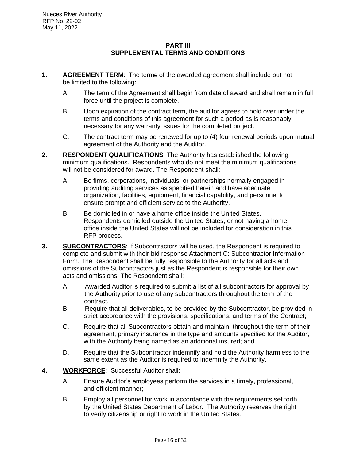#### **PART III SUPPLEMENTAL TERMS AND CONDITIONS**

- **1. AGREEMENT TERM**: The terms of the awarded agreement shall include but not be limited to the following:
	- A. The term of the Agreement shall begin from date of award and shall remain in full force until the project is complete.
	- B. Upon expiration of the contract term, the auditor agrees to hold over under the terms and conditions of this agreement for such a period as is reasonably necessary for any warranty issues for the completed project.
	- C. The contract term may be renewed for up to (4) four renewal periods upon mutual agreement of the Authority and the Auditor.
- **2. RESPONDENT QUALIFICATIONS**: The Authority has established the following minimum qualifications. Respondents who do not meet the minimum qualifications will not be considered for award. The Respondent shall:
	- A. Be firms, corporations, individuals, or partnerships normally engaged in providing auditing services as specified herein and have adequate organization, facilities, equipment, financial capability, and personnel to ensure prompt and efficient service to the Authority.
	- B. Be domiciled in or have a home office inside the United States. Respondents domiciled outside the United States, or not having a home office inside the United States will not be included for consideration in this RFP process.
- **3. SUBCONTRACTORS**: If Subcontractors will be used, the Respondent is required to complete and submit with their bid response Attachment C: Subcontractor Information Form. The Respondent shall be fully responsible to the Authority for all acts and omissions of the Subcontractors just as the Respondent is responsible for their own acts and omissions. The Respondent shall:
	- A. Awarded Auditor is required to submit a list of all subcontractors for approval by the Authority prior to use of any subcontractors throughout the term of the contract.
	- B. Require that all deliverables, to be provided by the Subcontractor, be provided in strict accordance with the provisions, specifications, and terms of the Contract;
	- C. Require that all Subcontractors obtain and maintain, throughout the term of their agreement, primary insurance in the type and amounts specified for the Auditor, with the Authority being named as an additional insured; and
	- D. Require that the Subcontractor indemnify and hold the Authority harmless to the same extent as the Auditor is required to indemnify the Authority.
- **4. WORKFORCE**: Successful Auditor shall:
	- A. Ensure Auditor's employees perform the services in a timely, professional, and efficient manner;
	- B. Employ all personnel for work in accordance with the requirements set forth by the United States Department of Labor. The Authority reserves the right to verify citizenship or right to work in the United States.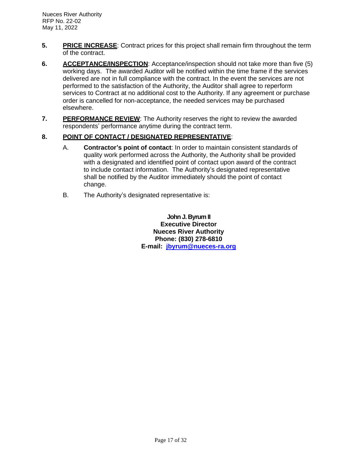- **5. PRICE INCREASE**: Contract prices for this project shall remain firm throughout the term of the contract.
- **6.** ACCEPTANCE/INSPECTION: Acceptance/inspection should not take more than five (5) working days. The awarded Auditor will be notified within the time frame if the services delivered are not in full compliance with the contract. In the event the services are not performed to the satisfaction of the Authority, the Auditor shall agree to reperform services to Contract at no additional cost to the Authority. If any agreement or purchase order is cancelled for non-acceptance, the needed services may be purchased elsewhere.
- **7. PERFORMANCE REVIEW**: The Authority reserves the right to review the awarded respondents' performance anytime during the contract term.

## **8. POINT OF CONTACT / DESIGNATED REPRESENTATIVE**:

- A. **Contractor's point of contact**: In order to maintain consistent standards of quality work performed across the Authority, the Authority shall be provided with a designated and identified point of contact upon award of the contract to include contact information. The Authority's designated representative shall be notified by the Auditor immediately should the point of contact change.
- B. The Authority's designated representative is:

**John J. Byrum II Executive Director Nueces River Authority Phone: (830) 278-6810 E-mail: [jbyrum@nueces-ra.org](mailto:jbyrum@nueces-ra.org)**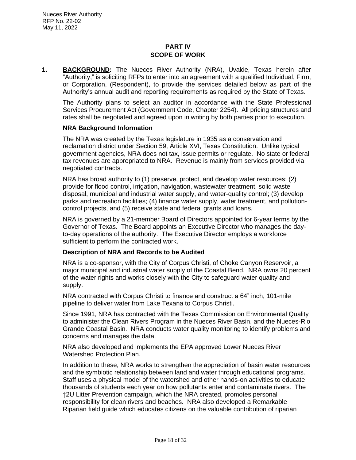## **PART IV SCOPE OF WORK**

**1. BACKGROUND:** The Nueces River Authority (NRA), Uvalde, Texas herein after "Authority," is soliciting RFPs to enter into an agreement with a qualified Individual, Firm, or Corporation, (Respondent), to provide the services detailed below as part of the Authority's annual audit and reporting requirements as required by the State of Texas.

The Authority plans to select an auditor in accordance with the State Professional Services Procurement Act (Government Code, Chapter 2254). All pricing structures and rates shall be negotiated and agreed upon in writing by both parties prior to execution.

#### **NRA Background Information**

The NRA was created by the Texas legislature in 1935 as a conservation and reclamation district under Section 59, Article XVI, Texas Constitution. Unlike typical government agencies, NRA does not tax, issue permits or regulate. No state or federal tax revenues are appropriated to NRA. Revenue is mainly from services provided via negotiated contracts.

NRA has broad authority to (1) preserve, protect, and develop water resources; (2) provide for flood control, irrigation, navigation, wastewater treatment, solid waste disposal, municipal and industrial water supply, and water-quality control; (3) develop parks and recreation facilities; (4) finance water supply, water treatment, and pollutioncontrol projects, and (5) receive state and federal grants and loans.

NRA is governed by a 21-member Board of Directors appointed for 6-year terms by the Governor of Texas. The Board appoints an Executive Director who manages the dayto-day operations of the authority. The Executive Director employs a workforce sufficient to perform the contracted work.

#### **Description of NRA and Records to be Audited**

NRA is a co-sponsor, with the City of Corpus Christi, of Choke Canyon Reservoir, a major municipal and industrial water supply of the Coastal Bend. NRA owns 20 percent of the water rights and works closely with the City to safeguard water quality and supply.

NRA contracted with Corpus Christi to finance and construct a 64" inch, 101-mile pipeline to deliver water from Lake Texana to Corpus Christi.

Since 1991, NRA has contracted with the Texas Commission on Environmental Quality to administer the Clean Rivers Program in the Nueces River Basin, and the Nueces-Rio Grande Coastal Basin. NRA conducts water quality monitoring to identify problems and concerns and manages the data.

NRA also developed and implements the EPA approved Lower Nueces River Watershed Protection Plan.

In addition to these, NRA works to strengthen the appreciation of basin water resources and the symbiotic relationship between land and water through educational programs. Staff uses a physical model of the watershed and other hands-on activities to educate thousands of students each year on how pollutants enter and contaminate rivers. The ↑2U Litter Prevention campaign, which the NRA created, promotes personal responsibility for clean rivers and beaches. NRA also developed a Remarkable Riparian field guide which educates citizens on the valuable contribution of riparian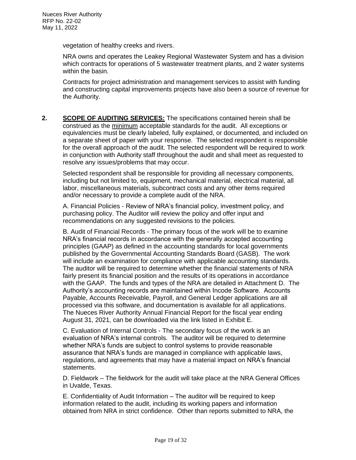vegetation of healthy creeks and rivers.

NRA owns and operates the Leakey Regional Wastewater System and has a division which contracts for operations of 5 wastewater treatment plants, and 2 water systems within the basin.

Contracts for project administration and management services to assist with funding and constructing capital improvements projects have also been a source of revenue for the Authority.

**2. SCOPE OF AUDITING SERVICES:** The specifications contained herein shall be construed as the minimum acceptable standards for the audit. All exceptions or equivalencies must be clearly labeled, fully explained, or documented, and included on a separate sheet of paper with your response. The selected respondent is responsible for the overall approach of the audit. The selected respondent will be required to work in conjunction with Authority staff throughout the audit and shall meet as requested to resolve any issues/problems that may occur.

Selected respondent shall be responsible for providing all necessary components, including but not limited to, equipment, mechanical material, electrical material, all labor, miscellaneous materials, subcontract costs and any other items required and/or necessary to provide a complete audit of the NRA.

A. Financial Policies - Review of NRA's financial policy, investment policy, and purchasing policy. The Auditor will review the policy and offer input and recommendations on any suggested revisions to the policies.

B. Audit of Financial Records - The primary focus of the work will be to examine NRA's financial records in accordance with the generally accepted accounting principles (GAAP) as defined in the accounting standards for local governments published by the Governmental Accounting Standards Board (GASB). The work will include an examination for compliance with applicable accounting standards. The auditor will be required to determine whether the financial statements of NRA fairly present its financial position and the results of its operations in accordance with the GAAP. The funds and types of the NRA are detailed in Attachment D. The Authority's accounting records are maintained within Incode Software. Accounts Payable, Accounts Receivable, Payroll, and General Ledger applications are all processed via this software, and documentation is available for all applications. The Nueces River Authority Annual Financial Report for the fiscal year ending August 31, 2021, can be downloaded via the link listed in Exhibit E.

C. Evaluation of Internal Controls - The secondary focus of the work is an evaluation of NRA's internal controls. The auditor will be required to determine whether NRA's funds are subject to control systems to provide reasonable assurance that NRA's funds are managed in compliance with applicable laws, regulations, and agreements that may have a material impact on NRA's financial statements.

D. Fieldwork – The fieldwork for the audit will take place at the NRA General Offices in Uvalde, Texas.

E. Confidentiality of Audit Information – The auditor will be required to keep information related to the audit, including its working papers and information obtained from NRA in strict confidence. Other than reports submitted to NRA, the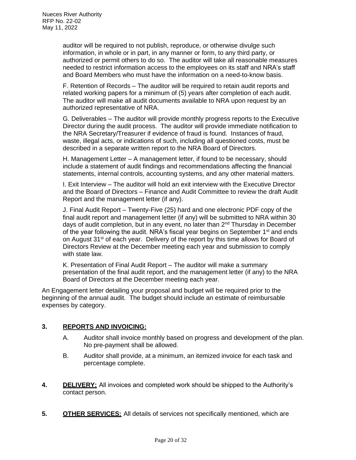auditor will be required to not publish, reproduce, or otherwise divulge such information, in whole or in part, in any manner or form, to any third party, or authorized or permit others to do so. The auditor will take all reasonable measures needed to restrict information access to the employees on its staff and NRA's staff and Board Members who must have the information on a need-to-know basis.

F. Retention of Records – The auditor will be required to retain audit reports and related working papers for a minimum of (5) years after completion of each audit. The auditor will make all audit documents available to NRA upon request by an authorized representative of NRA.

G. Deliverables – The auditor will provide monthly progress reports to the Executive Director during the audit process. The auditor will provide immediate notification to the NRA Secretary/Treasurer if evidence of fraud is found. Instances of fraud, waste, illegal acts, or indications of such, including all questioned costs, must be described in a separate written report to the NRA Board of Directors.

H. Management Letter – A management letter, if found to be necessary, should include a statement of audit findings and recommendations affecting the financial statements, internal controls, accounting systems, and any other material matters.

I. Exit Interview – The auditor will hold an exit interview with the Executive Director and the Board of Directors – Finance and Audit Committee to review the draft Audit Report and the management letter (if any).

J. Final Audit Report – Twenty-Five (25) hard and one electronic PDF copy of the final audit report and management letter (if any) will be submitted to NRA within 30 days of audit completion, but in any event, no later than 2<sup>nd</sup> Thursday in December of the year following the audit. NRA's fiscal year begins on September  $1<sup>st</sup>$  and ends on August 31<sup>st</sup> of each year. Delivery of the report by this time allows for Board of Directors Review at the December meeting each year and submission to comply with state law.

K. Presentation of Final Audit Report – The auditor will make a summary presentation of the final audit report, and the management letter (if any) to the NRA Board of Directors at the December meeting each year.

An Engagement letter detailing your proposal and budget will be required prior to the beginning of the annual audit. The budget should include an estimate of reimbursable expenses by category.

## **3. REPORTS AND INVOICING:**

- A. Auditor shall invoice monthly based on progress and development of the plan. No pre-payment shall be allowed.
- B. Auditor shall provide, at a minimum, an itemized invoice for each task and percentage complete.
- **4. DELIVERY:** All invoices and completed work should be shipped to the Authority's contact person.
- **5. OTHER SERVICES:** All details of services not specifically mentioned, which are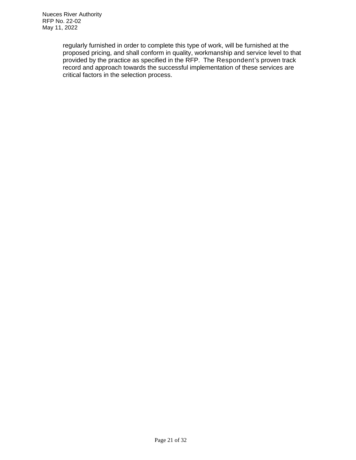regularly furnished in order to complete this type of work, will be furnished at the proposed pricing, and shall conform in quality, workmanship and service level to that provided by the practice as specified in the RFP. The Respondent's proven track record and approach towards the successful implementation of these services are critical factors in the selection process.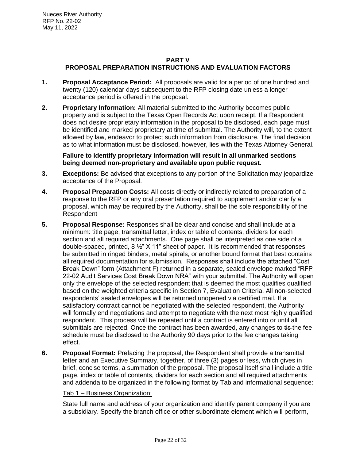## **PART V PROPOSAL PREPARATION INSTRUCTIONS AND EVALUATION FACTORS**

- **1. Proposal Acceptance Period:** All proposals are valid for a period of one hundred and twenty (120) calendar days subsequent to the RFP closing date unless a longer acceptance period is offered in the proposal.
- **2. Proprietary Information:** All material submitted to the Authority becomes public property and is subject to the Texas Open Records Act upon receipt. If a Respondent does not desire proprietary information in the proposal to be disclosed, each page must be identified and marked proprietary at time of submittal. The Authority will, to the extent allowed by law, endeavor to protect such information from disclosure. The final decision as to what information must be disclosed, however, lies with the Texas Attorney General.

**Failure to identify proprietary information will result in all unmarked sections being deemed non-proprietary and available upon public request.**

- **3. Exceptions:** Be advised that exceptions to any portion of the Solicitation may jeopardize acceptance of the Proposal.
- **4. Proposal Preparation Costs:** All costs directly or indirectly related to preparation of a response to the RFP or any oral presentation required to supplement and/or clarify a proposal, which may be required by the Authority, shall be the sole responsibility of the Respondent
- **5. Proposal Response:** Responses shall be clear and concise and shall include at a minimum: title page, transmittal letter, index or table of contents, dividers for each section and all required attachments. One page shall be interpreted as one side of a double-spaced, printed,  $8\frac{1}{2}$  X 11" sheet of paper. It is recommended that responses be submitted in ringed binders, metal spirals, or another bound format that best contains all required documentation for submission. Responses shall include the attached "Cost Break Down" form (Attachment F) returned in a separate, sealed envelope marked "RFP 22-02 Audit Services Cost Break Down NRA" with your submittal. The Authority will open only the envelope of the selected respondent that is deemed the most qualifies qualified based on the weighted criteria specific in Section 7, Evaluation Criteria. All non-selected respondents' sealed envelopes will be returned unopened via certified mail. If a satisfactory contract cannot be negotiated with the selected respondent, the Authority will formally end negotiations and attempt to negotiate with the next most highly qualified respondent. This process will be repeated until a contract is entered into or until all submittals are rejected. Once the contract has been awarded, any changes to tis-the fee schedule must be disclosed to the Authority 90 days prior to the fee changes taking effect.
- **6. Proposal Format:** Prefacing the proposal, the Respondent shall provide a transmittal letter and an Executive Summary, together, of three (3) pages or less, which gives in brief, concise terms, a summation of the proposal. The proposal itself shall include a title page, index or table of contents, dividers for each section and all required attachments and addenda to be organized in the following format by Tab and informational sequence:

## Tab 1 – Business Organization:

State full name and address of your organization and identify parent company if you are a subsidiary. Specify the branch office or other subordinate element which will perform,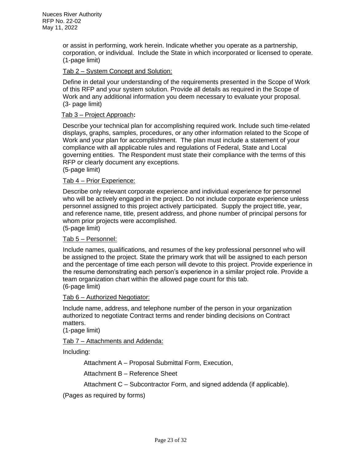or assist in performing, work herein. Indicate whether you operate as a partnership, corporation, or individual. Include the State in which incorporated or licensed to operate. (1-page limit)

## Tab 2 – System Concept and Solution:

Define in detail your understanding of the requirements presented in the Scope of Work of this RFP and your system solution. Provide all details as required in the Scope of Work and any additional information you deem necessary to evaluate your proposal. (3- page limit)

#### Tab 3 – Project Approach**:**

Describe your technical plan for accomplishing required work. Include such time-related displays, graphs, samples, procedures, or any other information related to the Scope of Work and your plan for accomplishment. The plan must include a statement of your compliance with all applicable rules and regulations of Federal, State and Local governing entities. The Respondent must state their compliance with the terms of this RFP or clearly document any exceptions.

(5-page limit)

## Tab 4 – Prior Experience:

Describe only relevant corporate experience and individual experience for personnel who will be actively engaged in the project. Do not include corporate experience unless personnel assigned to this project actively participated. Supply the project title, year, and reference name, title, present address, and phone number of principal persons for whom prior projects were accomplished.

(5-page limit)

## Tab 5 – Personnel:

Include names, qualifications, and resumes of the key professional personnel who will be assigned to the project. State the primary work that will be assigned to each person and the percentage of time each person will devote to this project. Provide experience in the resume demonstrating each person's experience in a similar project role. Provide a team organization chart within the allowed page count for this tab. (6-page limit)

#### Tab 6 – Authorized Negotiator:

Include name, address, and telephone number of the person in your organization authorized to negotiate Contract terms and render binding decisions on Contract matters.

(1-page limit)

#### Tab 7 – Attachments and Addenda:

Including:

Attachment A – Proposal Submittal Form, Execution,

Attachment B – Reference Sheet

```
Attachment C – Subcontractor Form, and signed addenda (if applicable).
```
(Pages as required by forms)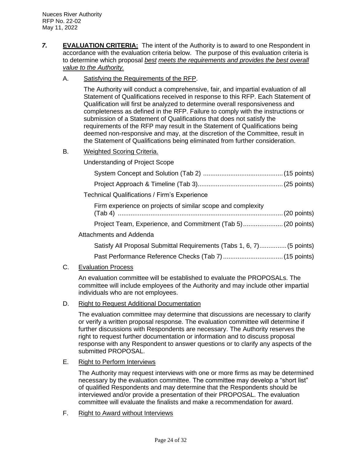*7.* **EVALUATION CRITERIA:** The intent of the Authority is to award to one Respondent in accordance with the evaluation criteria below. The purpose of this evaluation criteria is to determine which proposal *best meets the requirements and provides the best overall value to the Authority.*

## A. Satisfying the Requirements of the RFP.

The Authority will conduct a comprehensive, fair, and impartial evaluation of all Statement of Qualifications received in response to this RFP. Each Statement of Qualification will first be analyzed to determine overall responsiveness and completeness as defined in the RFP. Failure to comply with the instructions or submission of a Statement of Qualifications that does not satisfy the requirements of the RFP may result in the Statement of Qualifications being deemed non-responsive and may, at the discretion of the Committee, result in the Statement of Qualifications being eliminated from further consideration.

## B. Weighted Scoring Criteria.

Understanding of Project Scope

| <b>Technical Qualifications / Firm's Experience</b>                   |  |
|-----------------------------------------------------------------------|--|
| Firm experience on projects of similar scope and complexity           |  |
|                                                                       |  |
| <b>Attachments and Addenda</b>                                        |  |
| Satisfy All Proposal Submittal Requirements (Tabs 1, 6, 7) (5 points) |  |

Past Performance Reference Checks (Tab 7).................................(15 points)

## C. Evaluation Process

An evaluation committee will be established to evaluate the PROPOSALs. The committee will include employees of the Authority and may include other impartial individuals who are not employees.

## D. Right to Request Additional Documentation

The evaluation committee may determine that discussions are necessary to clarify or verify a written proposal response. The evaluation committee will determine if further discussions with Respondents are necessary. The Authority reserves the right to request further documentation or information and to discuss proposal response with any Respondent to answer questions or to clarify any aspects of the submitted PROPOSAL.

## E. Right to Perform Interviews

The Authority may request interviews with one or more firms as may be determined necessary by the evaluation committee. The committee may develop a "short list" of qualified Respondents and may determine that the Respondents should be interviewed and/or provide a presentation of their PROPOSAL. The evaluation committee will evaluate the finalists and make a recommendation for award.

F. Right to Award without Interviews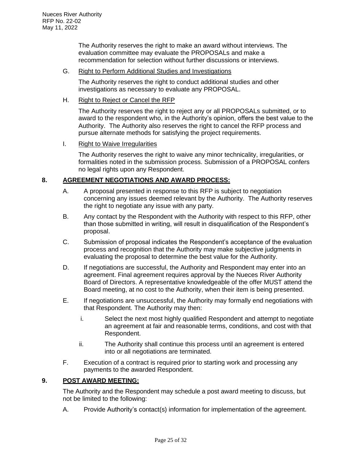The Authority reserves the right to make an award without interviews. The evaluation committee may evaluate the PROPOSALs and make a recommendation for selection without further discussions or interviews.

#### G. Right to Perform Additional Studies and Investigations

The Authority reserves the right to conduct additional studies and other investigations as necessary to evaluate any PROPOSAL.

#### H. Right to Reject or Cancel the RFP

The Authority reserves the right to reject any or all PROPOSALs submitted, or to award to the respondent who, in the Authority's opinion, offers the best value to the Authority. The Authority also reserves the right to cancel the RFP process and pursue alternate methods for satisfying the project requirements.

## I. Right to Waive Irregularities

The Authority reserves the right to waive any minor technicality, irregularities, or formalities noted in the submission process. Submission of a PROPOSAL confers no legal rights upon any Respondent.

## **8. AGREEMENT NEGOTIATIONS AND AWARD PROCESS:**

- A. A proposal presented in response to this RFP is subject to negotiation concerning any issues deemed relevant by the Authority. The Authority reserves the right to negotiate any issue with any party.
- B. Any contact by the Respondent with the Authority with respect to this RFP, other than those submitted in writing, will result in disqualification of the Respondent's proposal.
- C. Submission of proposal indicates the Respondent's acceptance of the evaluation process and recognition that the Authority may make subjective judgments in evaluating the proposal to determine the best value for the Authority.
- D. If negotiations are successful, the Authority and Respondent may enter into an agreement. Final agreement requires approval by the Nueces River Authority Board of Directors. A representative knowledgeable of the offer MUST attend the Board meeting, at no cost to the Authority, when their item is being presented.
- E. If negotiations are unsuccessful, the Authority may formally end negotiations with that Respondent. The Authority may then:
	- i. Select the next most highly qualified Respondent and attempt to negotiate an agreement at fair and reasonable terms, conditions, and cost with that Respondent.
	- ii. The Authority shall continue this process until an agreement is entered into or all negotiations are terminated.
- F. Execution of a contract is required prior to starting work and processing any payments to the awarded Respondent.

#### **9. POST AWARD MEETING:**

The Authority and the Respondent may schedule a post award meeting to discuss, but not be limited to the following:

A. Provide Authority's contact(s) information for implementation of the agreement.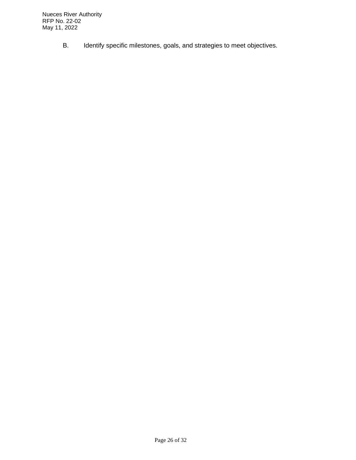B. Identify specific milestones, goals, and strategies to meet objectives.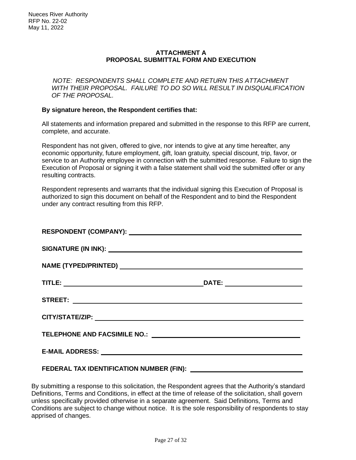## **ATTACHMENT A PROPOSAL SUBMITTAL FORM AND EXECUTION**

*NOTE: RESPONDENTS SHALL COMPLETE AND RETURN THIS ATTACHMENT WITH THEIR PROPOSAL. FAILURE TO DO SO WILL RESULT IN DISQUALIFICATION OF THE PROPOSAL.*

#### **By signature hereon, the Respondent certifies that:**

All statements and information prepared and submitted in the response to this RFP are current, complete, and accurate.

Respondent has not given, offered to give, nor intends to give at any time hereafter, any economic opportunity, future employment, gift, loan gratuity, special discount, trip, favor, or service to an Authority employee in connection with the submitted response. Failure to sign the Execution of Proposal or signing it with a false statement shall void the submitted offer or any resulting contracts.

Respondent represents and warrants that the individual signing this Execution of Proposal is authorized to sign this document on behalf of the Respondent and to bind the Respondent under any contract resulting from this RFP.

| FEDERAL TAX IDENTIFICATION NUMBER (FIN): ____________ |
|-------------------------------------------------------|

By submitting a response to this solicitation, the Respondent agrees that the Authority's standard Definitions, Terms and Conditions, in effect at the time of release of the solicitation, shall govern unless specifically provided otherwise in a separate agreement. Said Definitions, Terms and Conditions are subject to change without notice. It is the sole responsibility of respondents to stay apprised of changes.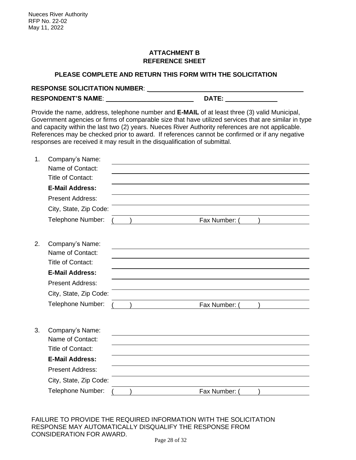## **ATTACHMENT B REFERENCE SHEET**

## **PLEASE COMPLETE AND RETURN THIS FORM WITH THE SOLICITATION**

| <b>RESPONSE SOLICITATION NUMBER:</b> |       |
|--------------------------------------|-------|
| <b>RESPONDENT'S NAME:</b>            | DATE: |

Provide the name, address, telephone number and **E-MAIL** of at least three (3) valid Municipal, Government agencies or firms of comparable size that have utilized services that are similar in type and capacity within the last two (2) years. Nueces River Authority references are not applicable. References may be checked prior to award. If references cannot be confirmed or if any negative responses are received it may result in the disqualification of submittal.

| 1. | Company's Name:          |  |               |  |
|----|--------------------------|--|---------------|--|
|    | Name of Contact:         |  |               |  |
|    | <b>Title of Contact:</b> |  |               |  |
|    | <b>E-Mail Address:</b>   |  |               |  |
|    | <b>Present Address:</b>  |  |               |  |
|    | City, State, Zip Code:   |  |               |  |
|    | Telephone Number:        |  | Fax Number:   |  |
| 2. | Company's Name:          |  |               |  |
|    | Name of Contact:         |  |               |  |
|    | <b>Title of Contact:</b> |  |               |  |
|    | <b>E-Mail Address:</b>   |  |               |  |
|    | <b>Present Address:</b>  |  |               |  |
|    | City, State, Zip Code:   |  |               |  |
|    | Telephone Number:        |  | Fax Number: ( |  |
|    |                          |  |               |  |
| 3. | Company's Name:          |  |               |  |
|    | Name of Contact:         |  |               |  |
|    | <b>Title of Contact:</b> |  |               |  |
|    | <b>E-Mail Address:</b>   |  |               |  |
|    | <b>Present Address:</b>  |  |               |  |
|    | City, State, Zip Code:   |  |               |  |
|    | Telephone Number:        |  | Fax Number:   |  |
|    |                          |  |               |  |

FAILURE TO PROVIDE THE REQUIRED INFORMATION WITH THE SOLICITATION RESPONSE MAY AUTOMATICALLY DISQUALIFY THE RESPONSE FROM CONSIDERATION FOR AWARD.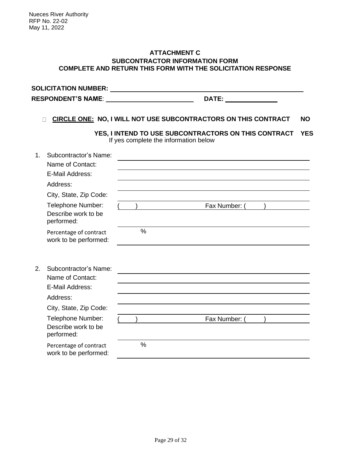#### **ATTACHMENT C SUBCONTRACTOR INFORMATION FORM COMPLETE AND RETURN THIS FORM WITH THE SOLICITATION RESPONSE**

**SOLICITATION NUMBER:** RESPONDENT'S NAME: **DATE:** DATE: **DATE:** 2014

## **CIRCLE ONE: NO, I WILL NOT USE SUBCONTRACTORS ON THIS CONTRACT NO**

**YES, I INTEND TO USE SUBCONTRACTORS ON THIS CONTRACT YES** If yes complete the information below

| $1_{-}$ | Subcontractor's Name:                           |      |               |  |
|---------|-------------------------------------------------|------|---------------|--|
|         | Name of Contact:                                |      |               |  |
|         | E-Mail Address:                                 |      |               |  |
|         | Address:                                        |      |               |  |
|         | City, State, Zip Code:                          |      |               |  |
|         | Telephone Number:                               |      | Fax Number: ( |  |
|         | Describe work to be<br>performed:               |      |               |  |
|         | Percentage of contract<br>work to be performed: | %    |               |  |
| 2.      | Subcontractor's Name:                           |      |               |  |
|         | Name of Contact:                                |      |               |  |
|         | E-Mail Address:                                 |      |               |  |
|         | Address:                                        |      |               |  |
|         | City, State, Zip Code:                          |      |               |  |
|         | Telephone Number:                               |      | Fax Number: ( |  |
|         | Describe work to be<br>performed:               |      |               |  |
|         | Percentage of contract<br>work to be performed: | $\%$ |               |  |
|         |                                                 |      |               |  |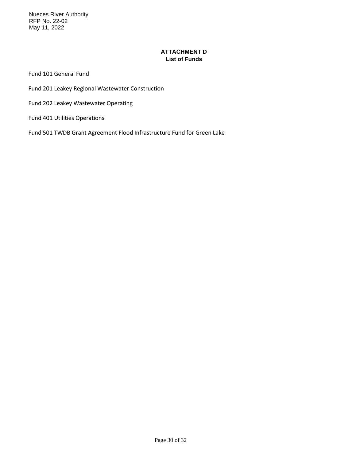Nueces River Authority RFP No. 22-02 May 11, 2022

## **ATTACHMENT D List of Funds**

Fund 101 General Fund

Fund 201 Leakey Regional Wastewater Construction

Fund 202 Leakey Wastewater Operating

Fund 401 Utilities Operations

Fund 501 TWDB Grant Agreement Flood Infrastructure Fund for Green Lake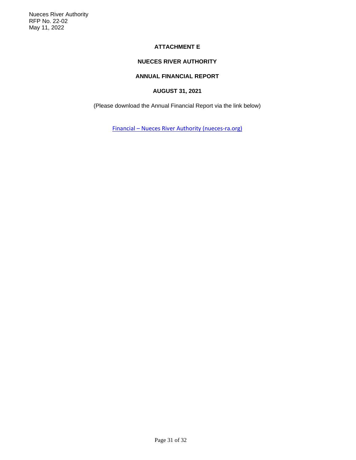#### **ATTACHMENT E**

## **NUECES RIVER AUTHORITY**

#### **ANNUAL FINANCIAL REPORT**

#### **AUGUST 31, 2021**

(Please download the Annual Financial Report via the link below)

Financial – [Nueces River Authority \(nueces-ra.org\)](https://nueces-ra.org/finance/)